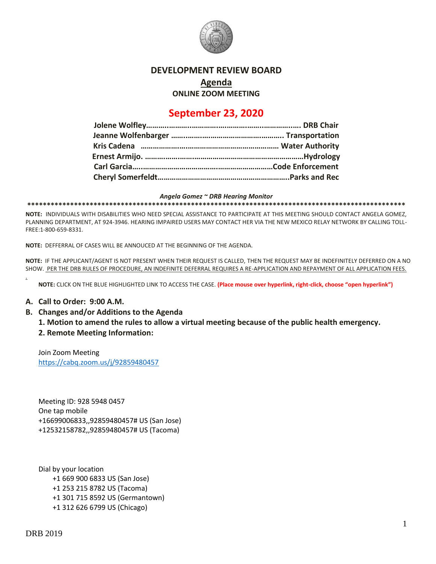

#### **DEVELOPMENT REVIEW BOARD**

**Agenda**

**ONLINE ZOOM MEETING**

# **September 23, 2020**

#### *Angela Gomez ~ DRB Hearing Monitor*

**\*\*\*\*\*\*\*\*\*\*\*\*\*\*\*\*\*\*\*\*\*\*\*\*\*\*\*\*\*\*\*\*\*\*\*\*\*\*\*\*\*\*\*\*\*\*\*\*\*\*\*\*\*\*\*\*\*\*\*\*\*\*\*\*\*\*\*\*\*\*\*\*\*\*\*\*\*\*\*\*\*\*\*\*\*\*\*\*\*\*\*\*\*\*\*\*\***

**NOTE:** INDIVIDUALS WITH DISABILITIES WHO NEED SPECIAL ASSISTANCE TO PARTICIPATE AT THIS MEETING SHOULD CONTACT ANGELA GOMEZ, PLANNING DEPARTMENT, AT 924-3946. HEARING IMPAIRED USERS MAY CONTACT HER VIA THE NEW MEXICO RELAY NETWORK BY CALLING TOLL-FREE:1-800-659-8331.

**NOTE:** DEFFERRAL OF CASES WILL BE ANNOUCED AT THE BEGINNING OF THE AGENDA.

**NOTE:** IF THE APPLICANT/AGENT IS NOT PRESENT WHEN THEIR REQUEST IS CALLED, THEN THE REQUEST MAY BE INDEFINITELY DEFERRED ON A NO SHOW. PER THE DRB RULES OF PROCEDURE, AN INDEFINITE DEFERRAL REQUIRES A RE-APPLICATION AND REPAYMENT OF ALL APPLICATION FEES.

**NOTE:** CLICK ON THE BLUE HIGHLIGHTED LINK TO ACCESS THE CASE. **(Place mouse over hyperlink, right-click, choose "open hyperlink")**

#### **A. Call to Order: 9:00 A.M.**

.

**B. Changes and/or Additions to the Agenda**

**1. Motion to amend the rules to allow a virtual meeting because of the public health emergency. 2. Remote Meeting Information:**

Join Zoom Meeting <https://cabq.zoom.us/j/92859480457>

Meeting ID: 928 5948 0457 One tap mobile +16699006833,,92859480457# US (San Jose) +12532158782,,92859480457# US (Tacoma)

Dial by your location +1 669 900 6833 US (San Jose) +1 253 215 8782 US (Tacoma) +1 301 715 8592 US (Germantown) +1 312 626 6799 US (Chicago)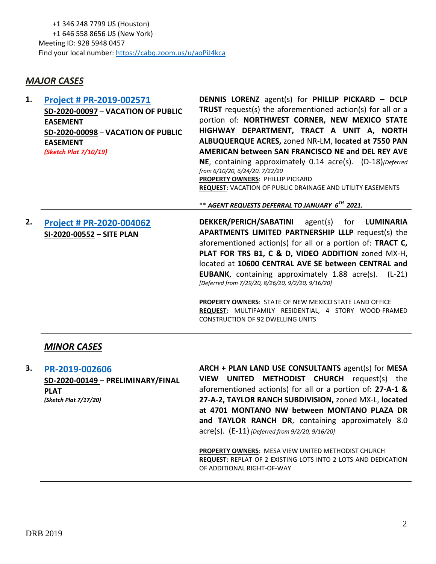## *MAJOR CASES*

| 1. | <b>Project # PR-2019-002571</b><br>SD-2020-00097 - VACATION OF PUBLIC<br><b>EASEMENT</b><br>SD-2020-00098 - VACATION OF PUBLIC<br><b>EASEMENT</b> | <b>DENNIS LORENZ</b> agent(s) for <b>PHILLIP PICKARD - DCLP</b><br><b>TRUST</b> request(s) the aforementioned action(s) for all or a<br>portion of: NORTHWEST CORNER, NEW MEXICO STATE<br>HIGHWAY DEPARTMENT, TRACT A UNIT A, NORTH<br>ALBUQUERQUE ACRES, zoned NR-LM, located at 7550 PAN<br>AMERICAN between SAN FRANCISCO NE and DEL REY AVE                                                                     |
|----|---------------------------------------------------------------------------------------------------------------------------------------------------|---------------------------------------------------------------------------------------------------------------------------------------------------------------------------------------------------------------------------------------------------------------------------------------------------------------------------------------------------------------------------------------------------------------------|
|    | <b>(Sketch Plat 7/10/19)</b>                                                                                                                      | NE, containing approximately 0.14 acre(s). (D-18) [Deferred]<br>from 6/10/20, 6/24/20. 7/22/20<br><b>PROPERTY OWNERS: PHILLIP PICKARD</b><br><b>REQUEST: VACATION OF PUBLIC DRAINAGE AND UTILITY EASEMENTS</b><br>** AGENT REQUESTS DEFERRAL TO JANUARY $6^{TH}$ 2021.                                                                                                                                              |
| 2. | <b>Project # PR-2020-004062</b><br>SI-2020-00552 - SITE PLAN                                                                                      | DEKKER/PERICH/SABATINI agent(s) for LUMINARIA<br><b>APARTMENTS LIMITED PARTNERSHIP LLLP request(s) the</b><br>aforementioned action(s) for all or a portion of: <b>TRACT C</b> ,<br>PLAT FOR TRS B1, C & D, VIDEO ADDITION zoned MX-H,<br>located at 10600 CENTRAL AVE SE between CENTRAL and<br><b>EUBANK</b> , containing approximately 1.88 acre(s). (L-21)<br>[Deferred from 7/29/20, 8/26/20, 9/2/20, 9/16/20] |
|    |                                                                                                                                                   | <b>PROPERTY OWNERS: STATE OF NEW MEXICO STATE LAND OFFICE</b><br>REQUEST: MULTIFAMILY RESIDENTIAL, 4 STORY WOOD-FRAMED<br><b>CONSTRUCTION OF 92 DWELLING UNITS</b>                                                                                                                                                                                                                                                  |

## *MINOR CASES*

| 3. | PR-2019-002606                    | ARCH + PLAN LAND USE CONSULTANTS agent(s) for MESA            |
|----|-----------------------------------|---------------------------------------------------------------|
|    | SD-2020-00149 - PRELIMINARY/FINAL | VIEW UNITED METHODIST CHURCH request(s) the                   |
|    | <b>PLAT</b>                       | aforementioned action(s) for all or a portion of: 27-A-1 $\&$ |
|    | (Sketch Plat 7/17/20)             | 27-A-2, TAYLOR RANCH SUBDIVISION, zoned MX-L, located         |
|    |                                   | at 4701 MONTANO NW between MONTANO PLAZA DR                   |
|    |                                   | and TAYLOR RANCH DR, containing approximately 8.0             |
|    |                                   | $\text{acre}(s)$ . $(E-11)$ [Deferred from 9/2/20, 9/16/20]   |

**PROPERTY OWNERS**: MESA VIEW UNITED METHODIST CHURCH **REQUEST**: REPLAT OF 2 EXISTING LOTS INTO 2 LOTS AND DEDICATION OF ADDITIONAL RIGHT-OF-WAY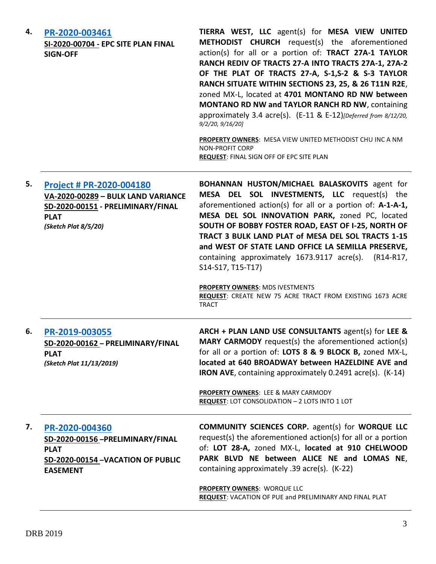| 4. | PR-2020-003461<br>SI-2020-00704 - EPC SITE PLAN FINAL<br><b>SIGN-OFF</b>                                                                   | TIERRA WEST, LLC agent(s) for MESA VIEW UNITED<br><b>METHODIST CHURCH</b> request(s) the aforementioned<br>action(s) for all or a portion of: TRACT 27A-1 TAYLOR<br>RANCH REDIV OF TRACTS 27-A INTO TRACTS 27A-1, 27A-2<br>OF THE PLAT OF TRACTS 27-A, S-1,S-2 & S-3 TAYLOR<br>RANCH SITUATE WITHIN SECTIONS 23, 25, & 26 T11N R2E,<br>zoned MX-L, located at 4701 MONTANO RD NW between<br>MONTANO RD NW and TAYLOR RANCH RD NW, containing<br>approximately 3.4 acre(s). (E-11 & E-12)[Deferred from 8/12/20,<br>9/2/20, 9/16/20]<br>PROPERTY OWNERS: MESA VIEW UNITED METHODIST CHU INC A NM<br><b>NON-PROFIT CORP</b><br><b>REQUEST: FINAL SIGN OFF OF EPC SITE PLAN</b> |
|----|--------------------------------------------------------------------------------------------------------------------------------------------|------------------------------------------------------------------------------------------------------------------------------------------------------------------------------------------------------------------------------------------------------------------------------------------------------------------------------------------------------------------------------------------------------------------------------------------------------------------------------------------------------------------------------------------------------------------------------------------------------------------------------------------------------------------------------|
| 5. | Project # PR-2020-004180<br>VA-2020-00289 - BULK LAND VARIANCE<br>SD-2020-00151 - PRELIMINARY/FINAL<br><b>PLAT</b><br>(Sketch Plat 8/5/20) | BOHANNAN HUSTON/MICHAEL BALASKOVITS agent for<br>MESA DEL SOL INVESTMENTS, LLC request(s) the<br>aforementioned action(s) for all or a portion of: A-1-A-1,<br>MESA DEL SOL INNOVATION PARK, zoned PC, located<br>SOUTH OF BOBBY FOSTER ROAD, EAST OF I-25, NORTH OF<br>TRACT 3 BULK LAND PLAT of MESA DEL SOL TRACTS 1-15<br>and WEST OF STATE LAND OFFICE LA SEMILLA PRESERVE,<br>containing approximately 1673.9117 acre(s).<br>(R14-R17,<br>S14-S17, T15-T17)<br><b>PROPERTY OWNERS: MDS IVESTMENTS</b><br>REQUEST: CREATE NEW 75 ACRE TRACT FROM EXISTING 1673 ACRE<br><b>TRACT</b>                                                                                     |
| 6. | PR-2019-003055<br>SD-2020-00162 - PRELIMINARY/FINAL<br><b>PLAT</b><br>(Sketch Plat 11/13/2019)                                             | ARCH + PLAN LAND USE CONSULTANTS agent(s) for LEE &<br><b>MARY CARMODY</b> request(s) the aforementioned action(s)<br>for all or a portion of: LOTS 8 & 9 BLOCK B, zoned MX-L,<br>located at 640 BROADWAY between HAZELDINE AVE and<br>IRON AVE, containing approximately 0.2491 acre(s). (K-14)<br><b>PROPERTY OWNERS: LEE &amp; MARY CARMODY</b><br>REQUEST: LOT CONSOLIDATION - 2 LOTS INTO 1 LOT                                                                                                                                                                                                                                                                         |
| 7. | PR-2020-004360<br>SD-2020-00156-PRELIMINARY/FINAL<br><b>PLAT</b><br>SD-2020-00154 - VACATION OF PUBLIC<br><b>EASEMENT</b>                  | <b>COMMUNITY SCIENCES CORP.</b> agent(s) for <b>WORQUE LLC</b><br>request(s) the aforementioned action(s) for all or a portion<br>of: LOT 28-A, zoned MX-L, located at 910 CHELWOOD<br>PARK BLVD NE between ALICE NE and LOMAS NE,<br>containing approximately .39 acre(s). (K-22)<br>PROPERTY OWNERS: WORQUE LLC<br>REQUEST: VACATION OF PUE and PRELIMINARY AND FINAL PLAT                                                                                                                                                                                                                                                                                                 |